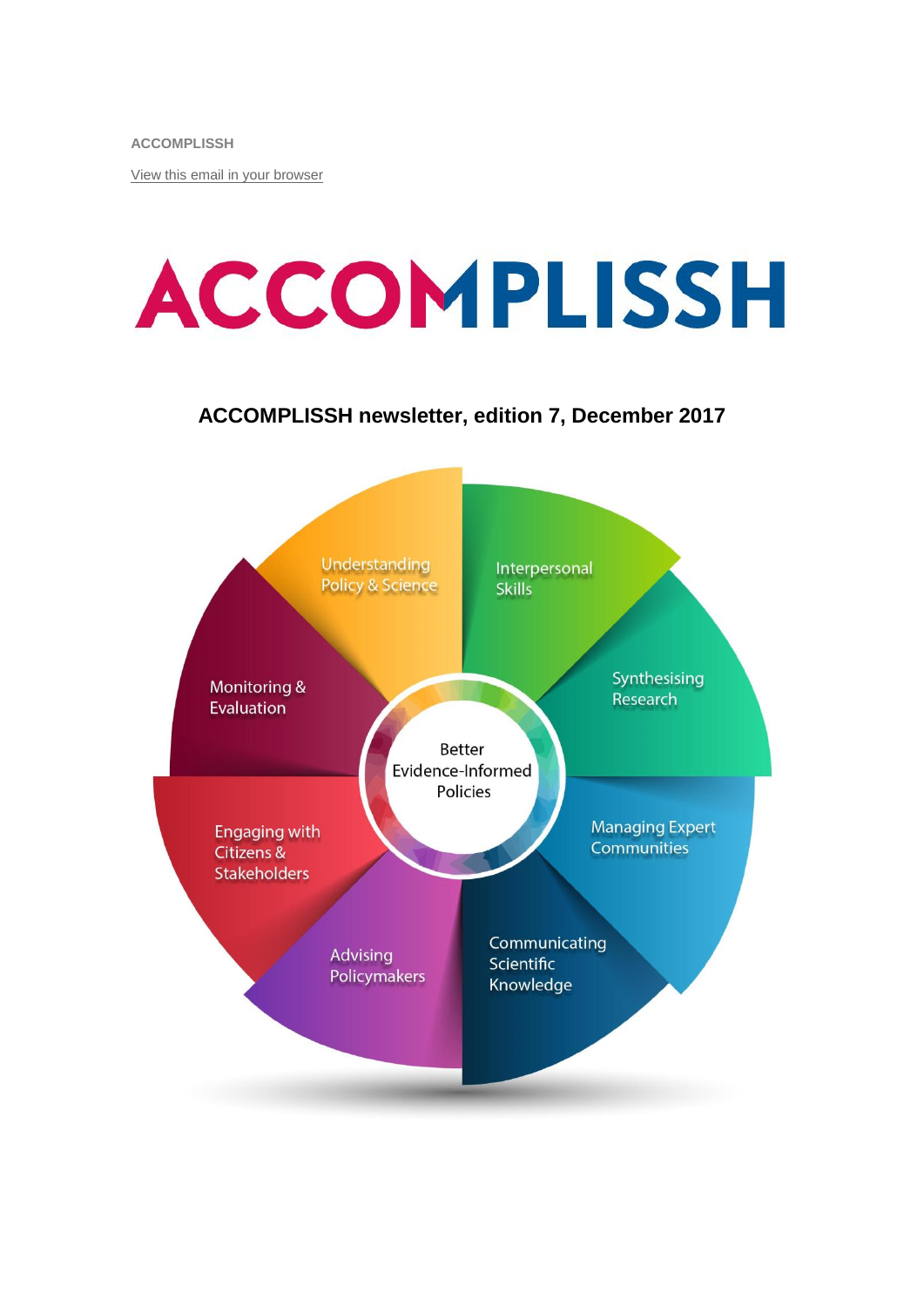**ACCOMPLISSH**

[View this email in your browser](http://mailchi.mp/17e91175a9aa/accomplissh-update?e=%5bUNIQID%5d)

# **ACCOMPLISSH**

#### **ACCOMPLISSH newsletter, edition 7, December 2017**

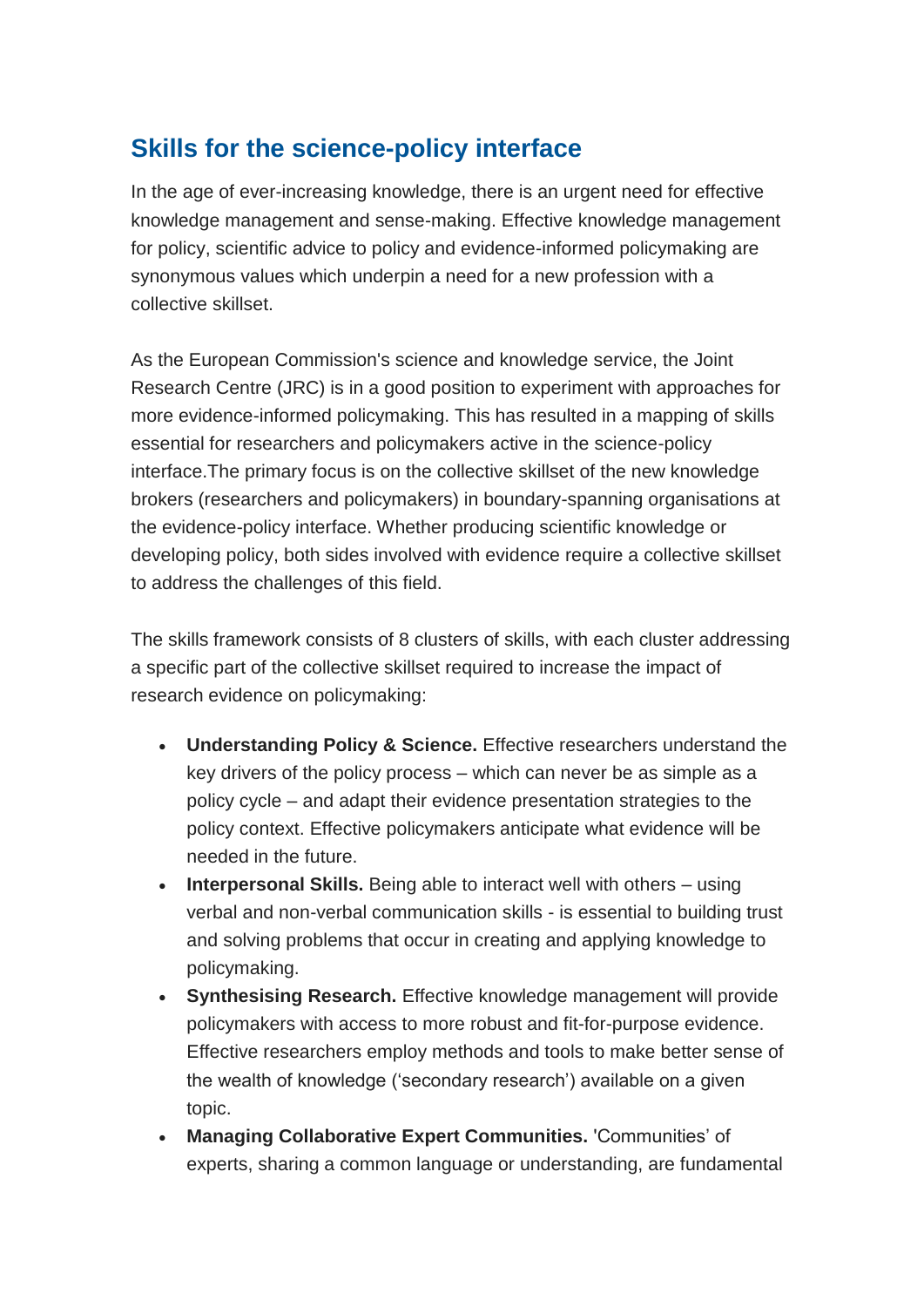# **Skills for the science-policy interface**

In the age of ever-increasing knowledge, there is an urgent need for effective knowledge management and sense-making. Effective knowledge management for policy, scientific advice to policy and evidence-informed policymaking are synonymous values which underpin a need for a new profession with a collective skillset.

As the European Commission's science and knowledge service, the Joint Research Centre (JRC) is in a good position to experiment with approaches for more evidence-informed policymaking. This has resulted in a mapping of skills essential for researchers and policymakers active in the science-policy interface.The primary focus is on the collective skillset of the new knowledge brokers (researchers and policymakers) in boundary-spanning organisations at the evidence-policy interface. Whether producing scientific knowledge or developing policy, both sides involved with evidence require a collective skillset to address the challenges of this field.

The skills framework consists of 8 clusters of skills, with each cluster addressing a specific part of the collective skillset required to increase the impact of research evidence on policymaking:

- **Understanding Policy & Science.** Effective researchers understand the key drivers of the policy process – which can never be as simple as a policy cycle – and adapt their evidence presentation strategies to the policy context. Effective policymakers anticipate what evidence will be needed in the future.
- **Interpersonal Skills.** Being able to interact well with others using verbal and non-verbal communication skills - is essential to building trust and solving problems that occur in creating and applying knowledge to policymaking.
- **Synthesising Research.** Effective knowledge management will provide policymakers with access to more robust and fit-for-purpose evidence. Effective researchers employ methods and tools to make better sense of the wealth of knowledge ('secondary research') available on a given topic.
- **Managing Collaborative Expert Communities.** 'Communities' of experts, sharing a common language or understanding, are fundamental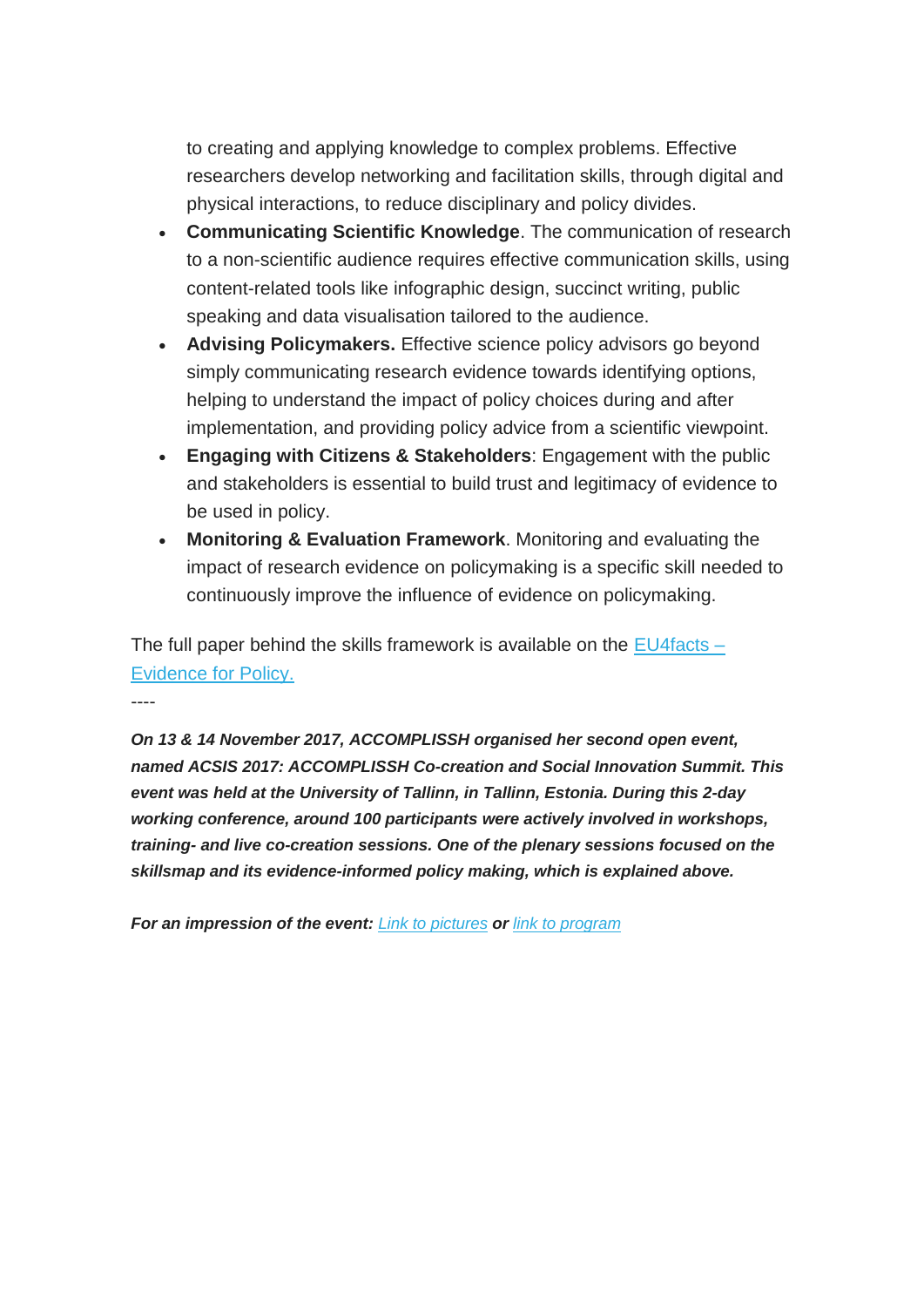to creating and applying knowledge to complex problems. Effective researchers develop networking and facilitation skills, through digital and physical interactions, to reduce disciplinary and policy divides.

- **Communicating Scientific Knowledge**. The communication of research to a non-scientific audience requires effective communication skills, using content-related tools like infographic design, succinct writing, public speaking and data visualisation tailored to the audience.
- **Advising Policymakers.** Effective science policy advisors go beyond simply communicating research evidence towards identifying options, helping to understand the impact of policy choices during and after implementation, and providing policy advice from a scientific viewpoint.
- **Engaging with Citizens & Stakeholders**: Engagement with the public and stakeholders is essential to build trust and legitimacy of evidence to be used in policy.
- **Monitoring & Evaluation Framework**. Monitoring and evaluating the impact of research evidence on policymaking is a specific skill needed to continuously improve the influence of evidence on policymaking.

The full paper behind the skills framework is available on the  $EU4$  facts – [Evidence for Policy.](https://ec.europa.eu/jrc/communities/community/evidence4policy/news/framework-skills-evidence-informed-policy-making)

----

*On 13 & 14 November 2017, ACCOMPLISSH organised her second open event, named ACSIS 2017: ACCOMPLISSH Co-creation and Social Innovation Summit. This event was held at the University of Tallinn, in Tallinn, Estonia. During this 2-day working conference, around 100 participants were actively involved in workshops, training- and live co-creation sessions. One of the plenary sessions focused on the skillsmap and its evidence-informed policy making, which is explained above.*

*For an impression of the event: [Link to pictures](https://www.flickr.com/gp/142052450@N02/2uC0jY) or [link to program](https://www.rug.nl/research/sustainable-society/pdfs-docs/ACSIS2017.pdf)*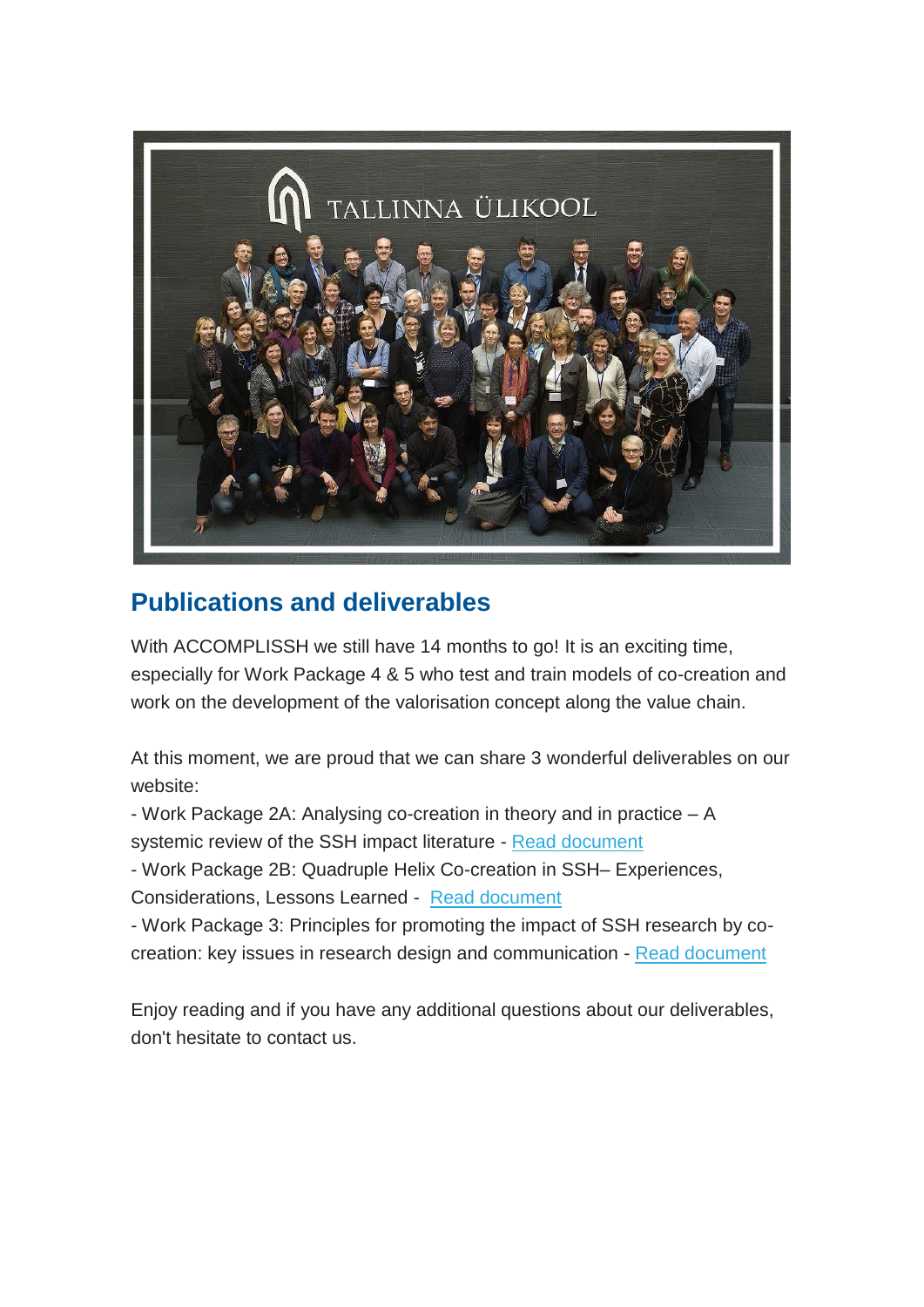

# **Publications and deliverables**

With ACCOMPLISSH we still have 14 months to go! It is an exciting time, especially for Work Package 4 & 5 who test and train models of co-creation and work on the development of the valorisation concept along the value chain.

At this moment, we are proud that we can share 3 wonderful deliverables on our website:

- Work Package 2A: Analysing co-creation in theory and in practice – A

systemic review of the SSH impact literature - [Read document](https://docs.wixstatic.com/ugd/35d470_1d36ad453b884646899f6196b45cac7e.pdf)

- Work Package 2B: Quadruple Helix Co-creation in SSH– Experiences,

Considerations, Lessons Learned - [Read document](https://docs.wixstatic.com/ugd/35d470_c5d9991a014944869436acca08120fab.pdf?index=true)

- Work Package 3: Principles for promoting the impact of SSH research by cocreation: key issues in research design and communication - [Read document](https://docs.wixstatic.com/ugd/35d470_bd12228b37f144cca4c029d4a6cff639.pdf?index=true)

Enjoy reading and if you have any additional questions about our deliverables, don't hesitate to contact us.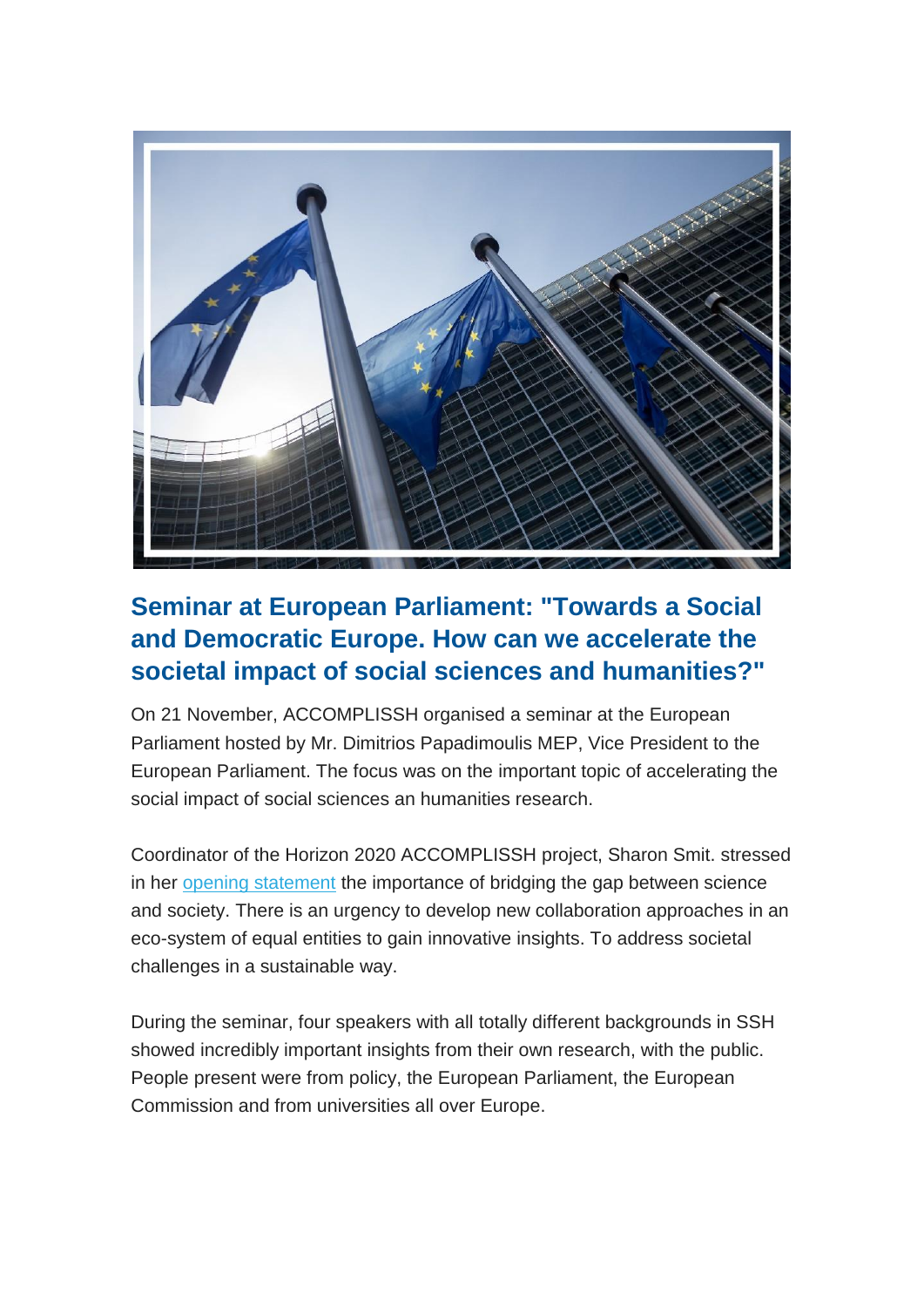

## **Seminar at European Parliament: "Towards a Social and Democratic Europe. How can we accelerate the societal impact of social sciences and humanities?"**

On 21 November, ACCOMPLISSH organised a seminar at the European Parliament hosted by Mr. Dimitrios Papadimoulis MEP, Vice President to the European Parliament. The focus was on the important topic of accelerating the social impact of social sciences an humanities research.

Coordinator of the Horizon 2020 ACCOMPLISSH project, Sharon Smit. stressed in her [opening statement](https://gallery.mailchimp.com/635154f2d7790b658b03ac770/files/de897846-3e73-40d7-9436-466f43cd7f9c/Sharon_Smit_EP_21_November_2017.pdf) the importance of bridging the gap between science and society. There is an urgency to develop new collaboration approaches in an eco-system of equal entities to gain innovative insights. To address societal challenges in a sustainable way.

During the seminar, four speakers with all totally different backgrounds in SSH showed incredibly important insights from their own research, with the public. People present were from policy, the European Parliament, the European Commission and from universities all over Europe.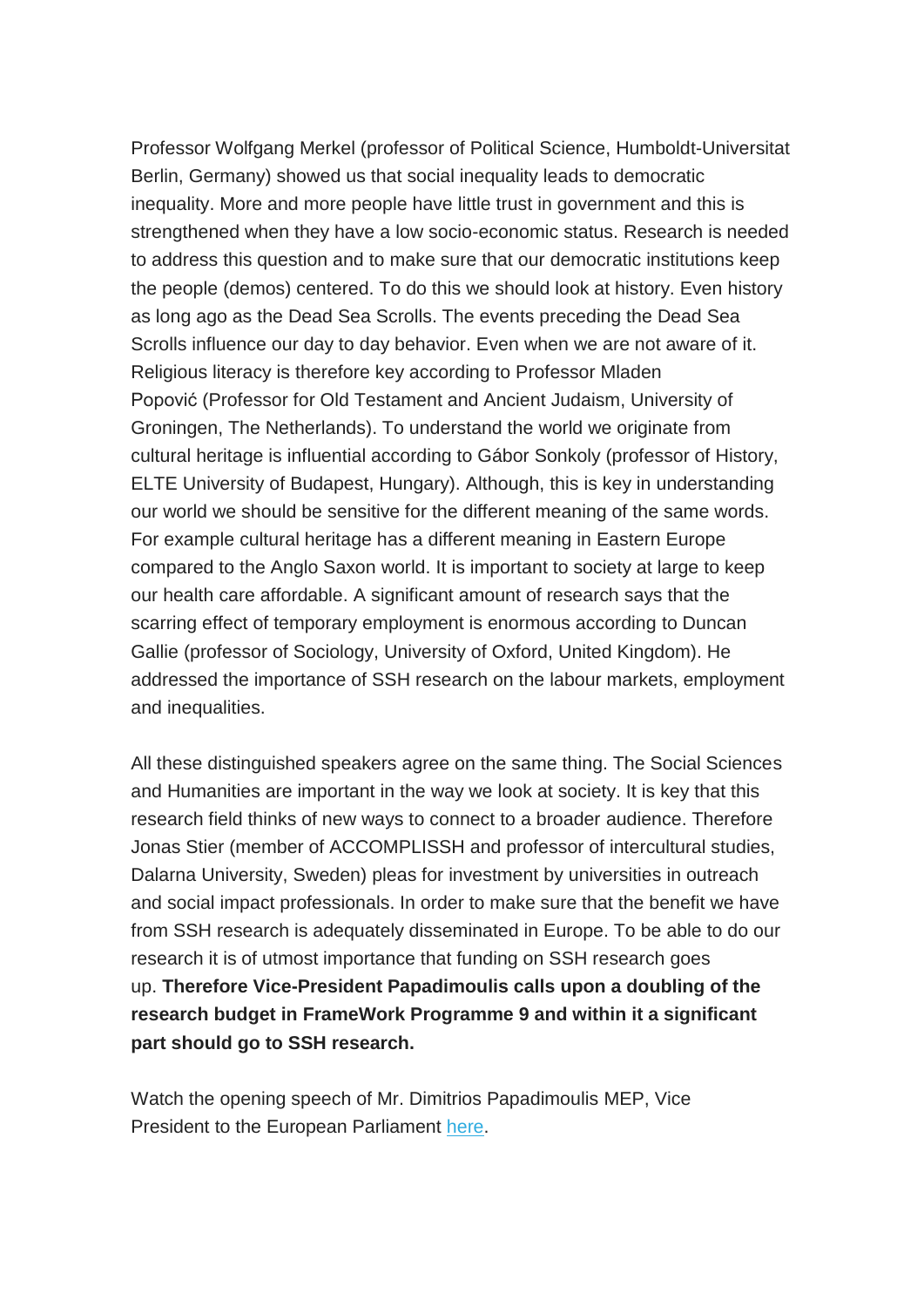Professor Wolfgang Merkel (professor of Political Science, Humboldt-Universitat Berlin, Germany) showed us that social inequality leads to democratic inequality. More and more people have little trust in government and this is strengthened when they have a low socio-economic status. Research is needed to address this question and to make sure that our democratic institutions keep the people (demos) centered. To do this we should look at history. Even history as long ago as the Dead Sea Scrolls. The events preceding the Dead Sea Scrolls influence our day to day behavior. Even when we are not aware of it. Religious literacy is therefore key according to Professor Mladen Popović (Professor for Old Testament and Ancient Judaism, University of Groningen, The Netherlands). To understand the world we originate from cultural heritage is influential according to Gábor Sonkoly (professor of History, ELTE University of Budapest, Hungary). Although, this is key in understanding our world we should be sensitive for the different meaning of the same words. For example cultural heritage has a different meaning in Eastern Europe compared to the Anglo Saxon world. It is important to society at large to keep our health care affordable. A significant amount of research says that the scarring effect of temporary employment is enormous according to Duncan Gallie (professor of Sociology, University of Oxford, United Kingdom). He addressed the importance of SSH research on the labour markets, employment and inequalities.

All these distinguished speakers agree on the same thing. The Social Sciences and Humanities are important in the way we look at society. It is key that this research field thinks of new ways to connect to a broader audience. Therefore Jonas Stier (member of ACCOMPLISSH and professor of intercultural studies, Dalarna University, Sweden) pleas for investment by universities in outreach and social impact professionals. In order to make sure that the benefit we have from SSH research is adequately disseminated in Europe. To be able to do our research it is of utmost importance that funding on SSH research goes up. **Therefore Vice-President Papadimoulis calls upon a doubling of the research budget in FrameWork Programme 9 and within it a significant part should go to SSH research.**

Watch the opening speech of Mr. Dimitrios Papadimoulis MEP, Vice President to the European Parliament [here.](https://www.youtube.com/watch?time_continue=214&v=0NhTC3xxbdk)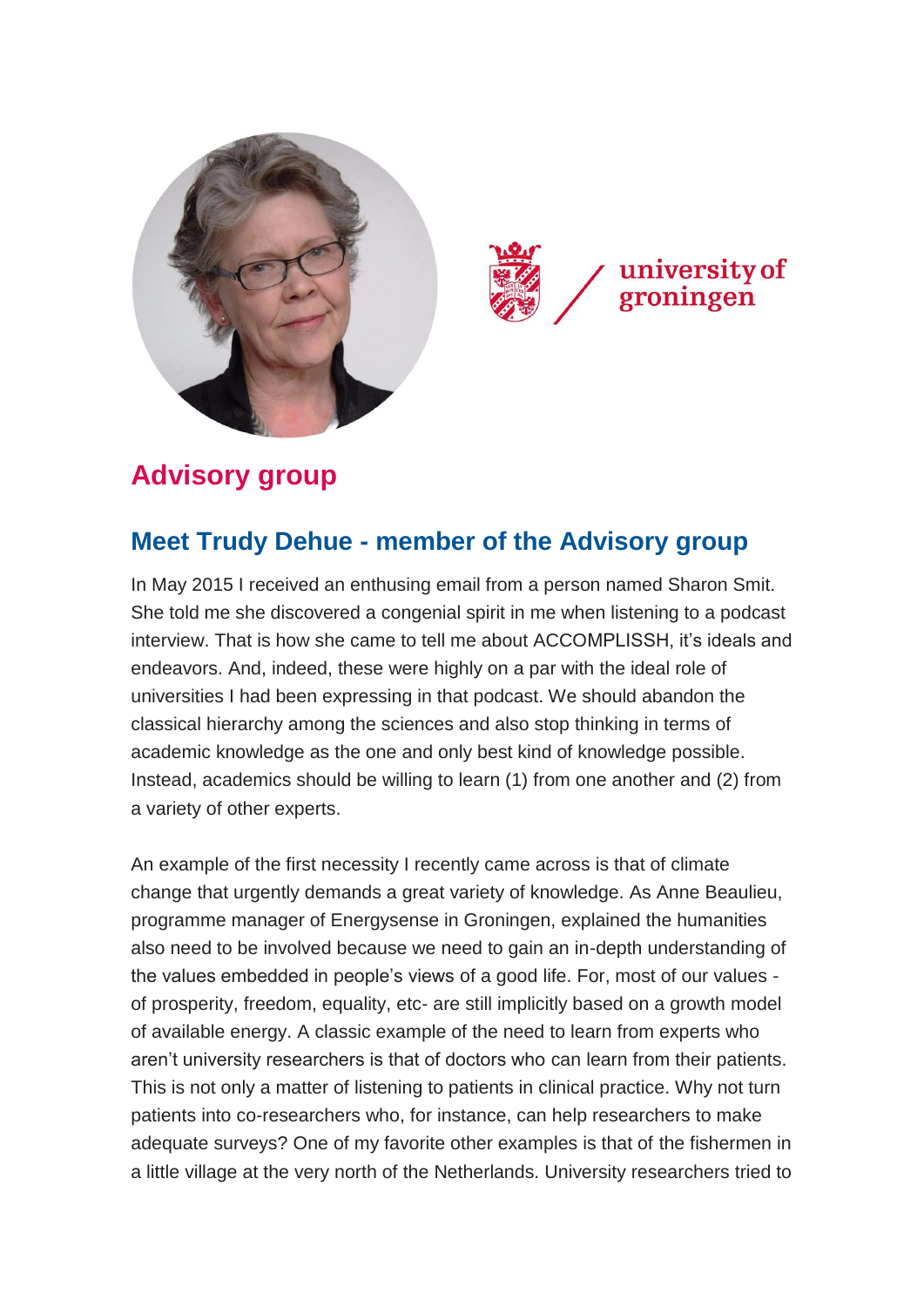



# **Advisory group**

### **Meet Trudy Dehue - member of the Advisory group**

In May 2015 I received an enthusing email from a person named Sharon Smit. She told me she discovered a congenial spirit in me when listening to a podcast interview. That is how she came to tell me about ACCOMPLISSH, it's ideals and endeavors. And, indeed, these were highly on a par with the ideal role of universities I had been expressing in that podcast. We should abandon the classical hierarchy among the sciences and also stop thinking in terms of academic knowledge as the one and only best kind of knowledge possible. Instead, academics should be willing to learn (1) from one another and (2) from a variety of other experts.

An example of the first necessity I recently came across is that of climate change that urgently demands a great variety of knowledge. As Anne Beaulieu, programme manager of Energysense in Groningen, explained the humanities also need to be involved because we need to gain an in-depth understanding of the values embedded in people's views of a good life. For, most of our values of prosperity, freedom, equality, etc- are still implicitly based on a growth model of available energy. A classic example of the need to learn from experts who aren't university researchers is that of doctors who can learn from their patients. This is not only a matter of listening to patients in clinical practice. Why not turn patients into co-researchers who, for instance, can help researchers to make adequate surveys? One of my favorite other examples is that of the fishermen in a little village at the very north of the Netherlands. University researchers tried to